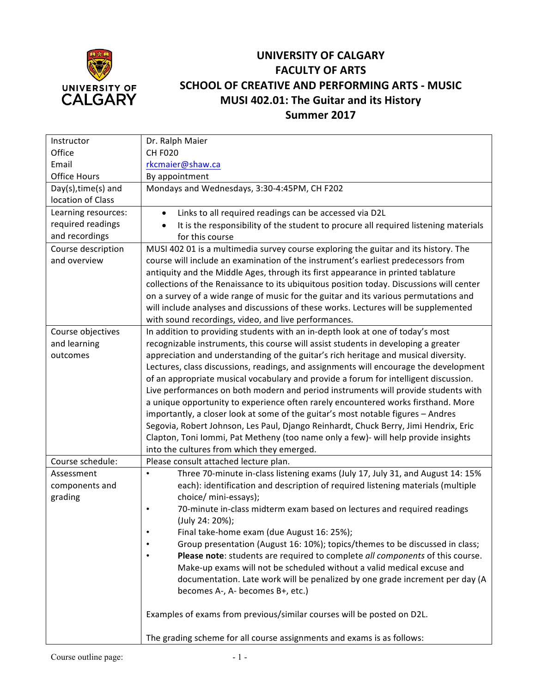

## **UNIVERSITY OF CALGARY FACULTY OF ARTS SCHOOL OF CREATIVE AND PERFORMING ARTS - MUSIC MUSI 402.01: The Guitar and its History Summer 2017**

| Instructor             | Dr. Ralph Maier                                                                             |  |  |  |  |
|------------------------|---------------------------------------------------------------------------------------------|--|--|--|--|
| Office                 | <b>CH F020</b>                                                                              |  |  |  |  |
| Email                  | rkcmaier@shaw.ca                                                                            |  |  |  |  |
| Office Hours           | By appointment                                                                              |  |  |  |  |
| $Day(s)$ , time(s) and | Mondays and Wednesdays, 3:30-4:45PM, CH F202                                                |  |  |  |  |
| location of Class      |                                                                                             |  |  |  |  |
| Learning resources:    | Links to all required readings can be accessed via D2L                                      |  |  |  |  |
| required readings      | It is the responsibility of the student to procure all required listening materials         |  |  |  |  |
| and recordings         | for this course                                                                             |  |  |  |  |
| Course description     | MUSI 402 01 is a multimedia survey course exploring the guitar and its history. The         |  |  |  |  |
| and overview           | course will include an examination of the instrument's earliest predecessors from           |  |  |  |  |
|                        | antiquity and the Middle Ages, through its first appearance in printed tablature            |  |  |  |  |
|                        | collections of the Renaissance to its ubiquitous position today. Discussions will center    |  |  |  |  |
|                        | on a survey of a wide range of music for the guitar and its various permutations and        |  |  |  |  |
|                        | will include analyses and discussions of these works. Lectures will be supplemented         |  |  |  |  |
|                        | with sound recordings, video, and live performances.                                        |  |  |  |  |
| Course objectives      | In addition to providing students with an in-depth look at one of today's most              |  |  |  |  |
| and learning           | recognizable instruments, this course will assist students in developing a greater          |  |  |  |  |
| outcomes               | appreciation and understanding of the guitar's rich heritage and musical diversity.         |  |  |  |  |
|                        | Lectures, class discussions, readings, and assignments will encourage the development       |  |  |  |  |
|                        | of an appropriate musical vocabulary and provide a forum for intelligent discussion.        |  |  |  |  |
|                        | Live performances on both modern and period instruments will provide students with          |  |  |  |  |
|                        | a unique opportunity to experience often rarely encountered works firsthand. More           |  |  |  |  |
|                        | importantly, a closer look at some of the guitar's most notable figures - Andres            |  |  |  |  |
|                        | Segovia, Robert Johnson, Les Paul, Django Reinhardt, Chuck Berry, Jimi Hendrix, Eric        |  |  |  |  |
|                        | Clapton, Toni Iommi, Pat Metheny (too name only a few)- will help provide insights          |  |  |  |  |
|                        | into the cultures from which they emerged.                                                  |  |  |  |  |
| Course schedule:       | Please consult attached lecture plan.                                                       |  |  |  |  |
| Assessment             | Three 70-minute in-class listening exams (July 17, July 31, and August 14: 15%<br>$\bullet$ |  |  |  |  |
| components and         | each): identification and description of required listening materials (multiple             |  |  |  |  |
| grading                | choice/ mini-essays);                                                                       |  |  |  |  |
|                        | 70-minute in-class midterm exam based on lectures and required readings<br>$\bullet$        |  |  |  |  |
|                        | (July 24: 20%);                                                                             |  |  |  |  |
|                        | Final take-home exam (due August 16: 25%);<br>$\bullet$                                     |  |  |  |  |
|                        | Group presentation (August 16: 10%); topics/themes to be discussed in class;                |  |  |  |  |
|                        | Please note: students are required to complete all components of this course.               |  |  |  |  |
|                        | Make-up exams will not be scheduled without a valid medical excuse and                      |  |  |  |  |
|                        | documentation. Late work will be penalized by one grade increment per day (A                |  |  |  |  |
|                        | becomes A-, A- becomes B+, etc.)                                                            |  |  |  |  |
|                        | Examples of exams from previous/similar courses will be posted on D2L.                      |  |  |  |  |
|                        | The grading scheme for all course assignments and exams is as follows:                      |  |  |  |  |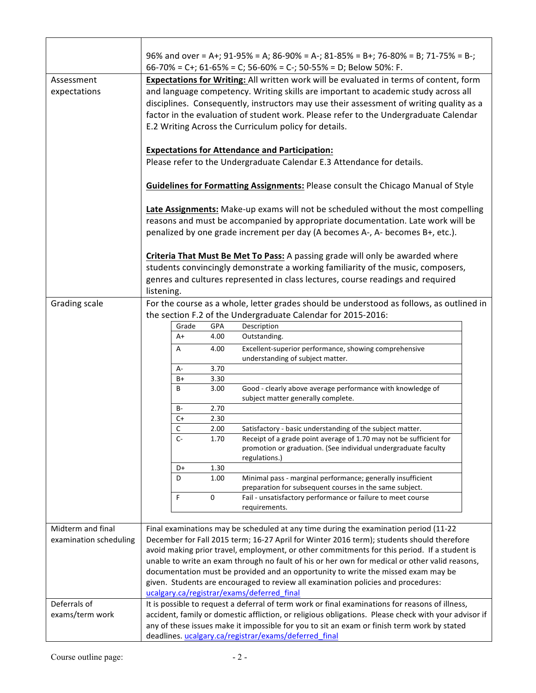|                            |                                                                                                                                                                                                                                                                                                                                                                                                                          |       |      | 96% and over = A+; 91-95% = A; 86-90% = A-; 81-85% = B+; 76-80% = B; 71-75% = B-;<br>66-70% = C+; 61-65% = C; 56-60% = C-; 50-55% = D; Below 50%: F.                                                                                                  |  |
|----------------------------|--------------------------------------------------------------------------------------------------------------------------------------------------------------------------------------------------------------------------------------------------------------------------------------------------------------------------------------------------------------------------------------------------------------------------|-------|------|-------------------------------------------------------------------------------------------------------------------------------------------------------------------------------------------------------------------------------------------------------|--|
| Assessment<br>expectations | Expectations for Writing: All written work will be evaluated in terms of content, form<br>and language competency. Writing skills are important to academic study across all<br>disciplines. Consequently, instructors may use their assessment of writing quality as a<br>factor in the evaluation of student work. Please refer to the Undergraduate Calendar<br>E.2 Writing Across the Curriculum policy for details. |       |      |                                                                                                                                                                                                                                                       |  |
|                            | <b>Expectations for Attendance and Participation:</b><br>Please refer to the Undergraduate Calendar E.3 Attendance for details.                                                                                                                                                                                                                                                                                          |       |      |                                                                                                                                                                                                                                                       |  |
|                            | <b>Guidelines for Formatting Assignments: Please consult the Chicago Manual of Style</b>                                                                                                                                                                                                                                                                                                                                 |       |      |                                                                                                                                                                                                                                                       |  |
|                            |                                                                                                                                                                                                                                                                                                                                                                                                                          |       |      | Late Assignments: Make-up exams will not be scheduled without the most compelling<br>reasons and must be accompanied by appropriate documentation. Late work will be<br>penalized by one grade increment per day (A becomes A-, A- becomes B+, etc.). |  |
|                            | listening.                                                                                                                                                                                                                                                                                                                                                                                                               |       |      | Criteria That Must Be Met To Pass: A passing grade will only be awarded where<br>students convincingly demonstrate a working familiarity of the music, composers,<br>genres and cultures represented in class lectures, course readings and required  |  |
| Grading scale              |                                                                                                                                                                                                                                                                                                                                                                                                                          |       |      | For the course as a whole, letter grades should be understood as follows, as outlined in                                                                                                                                                              |  |
|                            |                                                                                                                                                                                                                                                                                                                                                                                                                          |       |      | the section F.2 of the Undergraduate Calendar for 2015-2016:                                                                                                                                                                                          |  |
|                            |                                                                                                                                                                                                                                                                                                                                                                                                                          | Grade | GPA  | Description                                                                                                                                                                                                                                           |  |
|                            |                                                                                                                                                                                                                                                                                                                                                                                                                          | A+    | 4.00 | Outstanding.                                                                                                                                                                                                                                          |  |
|                            |                                                                                                                                                                                                                                                                                                                                                                                                                          | Α     | 4.00 | Excellent-superior performance, showing comprehensive<br>understanding of subject matter.                                                                                                                                                             |  |
|                            |                                                                                                                                                                                                                                                                                                                                                                                                                          | А-    | 3.70 |                                                                                                                                                                                                                                                       |  |
|                            |                                                                                                                                                                                                                                                                                                                                                                                                                          | B+    | 3.30 | Good - clearly above average performance with knowledge of                                                                                                                                                                                            |  |
|                            |                                                                                                                                                                                                                                                                                                                                                                                                                          | В     | 3.00 | subject matter generally complete.                                                                                                                                                                                                                    |  |
|                            |                                                                                                                                                                                                                                                                                                                                                                                                                          | B-    | 2.70 |                                                                                                                                                                                                                                                       |  |
|                            |                                                                                                                                                                                                                                                                                                                                                                                                                          | C+    | 2.30 |                                                                                                                                                                                                                                                       |  |
|                            |                                                                                                                                                                                                                                                                                                                                                                                                                          | C     | 2.00 | Satisfactory - basic understanding of the subject matter.                                                                                                                                                                                             |  |
|                            |                                                                                                                                                                                                                                                                                                                                                                                                                          | $C -$ | 1.70 | Receipt of a grade point average of 1.70 may not be sufficient for<br>promotion or graduation. (See individual undergraduate faculty<br>regulations.)                                                                                                 |  |
|                            |                                                                                                                                                                                                                                                                                                                                                                                                                          | D+    | 1.30 |                                                                                                                                                                                                                                                       |  |
|                            |                                                                                                                                                                                                                                                                                                                                                                                                                          | D     | 1.00 | Minimal pass - marginal performance; generally insufficient                                                                                                                                                                                           |  |
|                            | F                                                                                                                                                                                                                                                                                                                                                                                                                        |       | 0    | preparation for subsequent courses in the same subject.<br>Fail - unsatisfactory performance or failure to meet course<br>requirements.                                                                                                               |  |
|                            |                                                                                                                                                                                                                                                                                                                                                                                                                          |       |      |                                                                                                                                                                                                                                                       |  |
| Midterm and final          |                                                                                                                                                                                                                                                                                                                                                                                                                          |       |      | Final examinations may be scheduled at any time during the examination period (11-22                                                                                                                                                                  |  |
| examination scheduling     |                                                                                                                                                                                                                                                                                                                                                                                                                          |       |      | December for Fall 2015 term; 16-27 April for Winter 2016 term); students should therefore                                                                                                                                                             |  |
|                            |                                                                                                                                                                                                                                                                                                                                                                                                                          |       |      | avoid making prior travel, employment, or other commitments for this period. If a student is                                                                                                                                                          |  |
|                            |                                                                                                                                                                                                                                                                                                                                                                                                                          |       |      | unable to write an exam through no fault of his or her own for medical or other valid reasons,                                                                                                                                                        |  |
|                            |                                                                                                                                                                                                                                                                                                                                                                                                                          |       |      | documentation must be provided and an opportunity to write the missed exam may be                                                                                                                                                                     |  |
|                            |                                                                                                                                                                                                                                                                                                                                                                                                                          |       |      | given. Students are encouraged to review all examination policies and procedures:                                                                                                                                                                     |  |
| Deferrals of               |                                                                                                                                                                                                                                                                                                                                                                                                                          |       |      | ucalgary.ca/registrar/exams/deferred final<br>It is possible to request a deferral of term work or final examinations for reasons of illness,                                                                                                         |  |
| exams/term work            |                                                                                                                                                                                                                                                                                                                                                                                                                          |       |      | accident, family or domestic affliction, or religious obligations. Please check with your advisor if                                                                                                                                                  |  |
|                            |                                                                                                                                                                                                                                                                                                                                                                                                                          |       |      | any of these issues make it impossible for you to sit an exam or finish term work by stated                                                                                                                                                           |  |
|                            |                                                                                                                                                                                                                                                                                                                                                                                                                          |       |      | deadlines. ucalgary.ca/registrar/exams/deferred final                                                                                                                                                                                                 |  |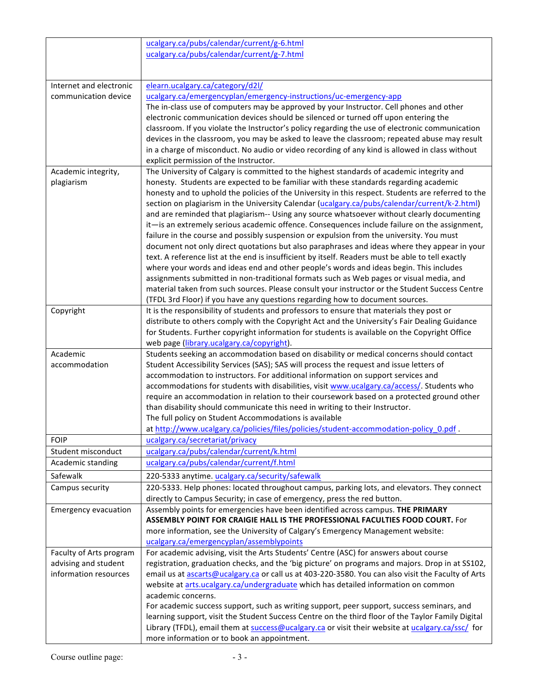|                             | ucalgary.ca/pubs/calendar/current/g-6.html                                                         |
|-----------------------------|----------------------------------------------------------------------------------------------------|
|                             | ucalgary.ca/pubs/calendar/current/g-7.html                                                         |
|                             |                                                                                                    |
|                             |                                                                                                    |
| Internet and electronic     | elearn.ucalgary.ca/category/d2l/                                                                   |
| communication device        | ucalgary.ca/emergencyplan/emergency-instructions/uc-emergency-app                                  |
|                             | The in-class use of computers may be approved by your Instructor. Cell phones and other            |
|                             | electronic communication devices should be silenced or turned off upon entering the                |
|                             | classroom. If you violate the Instructor's policy regarding the use of electronic communication    |
|                             | devices in the classroom, you may be asked to leave the classroom; repeated abuse may result       |
|                             | in a charge of misconduct. No audio or video recording of any kind is allowed in class without     |
|                             | explicit permission of the Instructor.                                                             |
| Academic integrity,         | The University of Calgary is committed to the highest standards of academic integrity and          |
| plagiarism                  | honesty. Students are expected to be familiar with these standards regarding academic              |
|                             | honesty and to uphold the policies of the University in this respect. Students are referred to the |
|                             | section on plagiarism in the University Calendar (ucalgary.ca/pubs/calendar/current/k-2.html)      |
|                             | and are reminded that plagiarism-- Using any source whatsoever without clearly documenting         |
|                             | it-is an extremely serious academic offence. Consequences include failure on the assignment,       |
|                             | failure in the course and possibly suspension or expulsion from the university. You must           |
|                             | document not only direct quotations but also paraphrases and ideas where they appear in your       |
|                             | text. A reference list at the end is insufficient by itself. Readers must be able to tell exactly  |
|                             | where your words and ideas end and other people's words and ideas begin. This includes             |
|                             | assignments submitted in non-traditional formats such as Web pages or visual media, and            |
|                             | material taken from such sources. Please consult your instructor or the Student Success Centre     |
|                             | (TFDL 3rd Floor) if you have any questions regarding how to document sources.                      |
| Copyright                   | It is the responsibility of students and professors to ensure that materials they post or          |
|                             | distribute to others comply with the Copyright Act and the University's Fair Dealing Guidance      |
|                             | for Students. Further copyright information for students is available on the Copyright Office      |
|                             | web page (library.ucalgary.ca/copyright).                                                          |
| Academic                    | Students seeking an accommodation based on disability or medical concerns should contact           |
| accommodation               | Student Accessibility Services (SAS); SAS will process the request and issue letters of            |
|                             | accommodation to instructors. For additional information on support services and                   |
|                             | accommodations for students with disabilities, visit www.ucalgary.ca/access/. Students who         |
|                             | require an accommodation in relation to their coursework based on a protected ground other         |
|                             | than disability should communicate this need in writing to their Instructor.                       |
|                             | The full policy on Student Accommodations is available                                             |
|                             | at http://www.ucalgary.ca/policies/files/policies/student-accommodation-policy_0.pdf               |
| <b>FOIP</b>                 | ucalgary.ca/secretariat/privacy                                                                    |
| Student misconduct          | ucalgary.ca/pubs/calendar/current/k.html                                                           |
| Academic standing           | ucalgary.ca/pubs/calendar/current/f.html                                                           |
| Safewalk                    | 220-5333 anytime. ucalgary.ca/security/safewalk                                                    |
| Campus security             | 220-5333. Help phones: located throughout campus, parking lots, and elevators. They connect        |
|                             | directly to Campus Security; in case of emergency, press the red button.                           |
| <b>Emergency evacuation</b> | Assembly points for emergencies have been identified across campus. THE PRIMARY                    |
|                             | ASSEMBLY POINT FOR CRAIGIE HALL IS THE PROFESSIONAL FACULTIES FOOD COURT. For                      |
|                             | more information, see the University of Calgary's Emergency Management website:                    |
|                             | ucalgary.ca/emergencyplan/assemblypoints                                                           |
| Faculty of Arts program     | For academic advising, visit the Arts Students' Centre (ASC) for answers about course              |
| advising and student        | registration, graduation checks, and the 'big picture' on programs and majors. Drop in at SS102,   |
| information resources       | email us at ascarts@ucalgary.ca or call us at 403-220-3580. You can also visit the Faculty of Arts |
|                             | website at arts.ucalgary.ca/undergraduate which has detailed information on common                 |
|                             | academic concerns.                                                                                 |
|                             | For academic success support, such as writing support, peer support, success seminars, and         |
|                             | learning support, visit the Student Success Centre on the third floor of the Taylor Family Digital |
|                             | Library (TFDL), email them at success@ucalgary.ca or visit their website at ucalgary.ca/ssc/ for   |
|                             | more information or to book an appointment.                                                        |